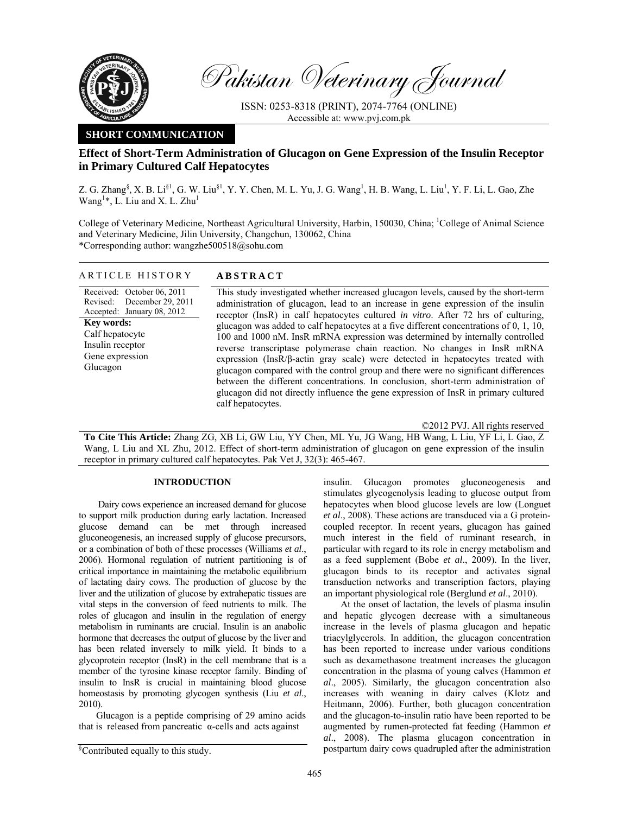

Pakistan Veterinary Journal

ISSN: 0253-8318 (PRINT), 2074-7764 (ONLINE) Accessible at: www.pvj.com.pk

## **SHORT COMMUNICATION**

# **Effect of Short-Term Administration of Glucagon on Gene Expression of the Insulin Receptor in Primary Cultured Calf Hepatocytes**

Z. G. Zhang<sup>§</sup>, X. B. Li<sup>§1</sup>, G. W. Liu<sup>§1</sup>, Y. Y. Chen, M. L. Yu, J. G. Wang<sup>1</sup>, H. B. Wang, L. Liu<sup>1</sup>, Y. F. Li, L. Gao, Zhe Wang<sup>1</sup>\*, L. Liu and X. L. Zhu<sup>1</sup>

College of Veterinary Medicine, Northeast Agricultural University, Harbin, 150030, China; <sup>1</sup>College of Animal Science and Veterinary Medicine, Jilin University, Changchun, 130062, China \*Corresponding author: wangzhe500518@sohu.com

### ARTICLE HISTORY **ABSTRACT**

Received: October 06, 2011 Revised: Accepted: January 08, 2012 December 29, 2011 **Key words:**  Calf hepatocyte Insulin receptor Gene expression Glucagon

This study investigated whether increased glucagon levels, caused by the short-term administration of glucagon, lead to an increase in gene expression of the insulin receptor (InsR) in calf hepatocytes cultured *in vitro*. After 72 hrs of culturing, glucagon was added to calf hepatocytes at a five different concentrations of 0, 1, 10, 100 and 1000 nM. InsR mRNA expression was determined by internally controlled reverse transcriptase polymerase chain reaction. No changes in InsR mRNA expression (InsR/β-actin gray scale) were detected in hepatocytes treated with glucagon compared with the control group and there were no significant differences between the different concentrations. In conclusion, short-term administration of glucagon did not directly influence the gene expression of InsR in primary cultured calf hepatocytes.

©2012 PVJ. All rights reserved **To Cite This Article:** Zhang ZG, XB Li, GW Liu, YY Chen, ML Yu, JG Wang, HB Wang, L Liu, YF Li, L Gao, Z Wang, L Liu and XL Zhu, 2012. Effect of short-term administration of glucagon on gene expression of the insulin receptor in primary cultured calf hepatocytes. Pak Vet J, 32(3): 465-467.

#### **INTRODUCTION**

Dairy cows experience an increased demand for glucose to support milk production during early lactation. Increased glucose demand can be met through increased gluconeogenesis, an increased supply of glucose precursors, or a combination of both of these processes (Williams *et al*., 2006). Hormonal regulation of nutrient partitioning is of critical importance in maintaining the metabolic equilibrium of lactating dairy cows. The production of glucose by the liver and the utilization of glucose by extrahepatic tissues are vital steps in the conversion of feed nutrients to milk. The roles of glucagon and insulin in the regulation of energy metabolism in ruminants are crucial. Insulin is an anabolic hormone that decreases the output of glucose by the liver and has been related inversely to milk yield. It binds to a glycoprotein receptor (InsR) in the cell membrane that is a member of the tyrosine kinase receptor family. Binding of insulin to InsR is crucial in maintaining blood glucose homeostasis by promoting glycogen synthesis (Liu *et al*., 2010).

Glucagon is a peptide comprising of 29 amino acids that is released from pancreatic α-cells and acts against

insulin. Glucagon promotes gluconeogenesis and stimulates glycogenolysis leading to glucose output from hepatocytes when blood glucose levels are low (Longuet *et al*., 2008). These actions are transduced via a G proteincoupled receptor. In recent years, glucagon has gained much interest in the field of ruminant research, in particular with regard to its role in energy metabolism and as a feed supplement (Bobe *et al*., 2009). In the liver, glucagon binds to its receptor and activates signal transduction networks and transcription factors, playing an important physiological role (Berglund *et al*., 2010).

At the onset of lactation, the levels of plasma insulin and hepatic glycogen decrease with a simultaneous increase in the levels of plasma glucagon and hepatic triacylglycerols. In addition, the glucagon concentration has been reported to increase under various conditions such as dexamethasone treatment increases the glucagon concentration in the plasma of young calves (Hammon *et al*., 2005). Similarly, the glucagon concentration also increases with weaning in dairy calves (Klotz and Heitmann, 2006). Further, both glucagon concentration and the glucagon-to-insulin ratio have been reported to be augmented by rumen-protected fat feeding (Hammon *et al*., 2008). The plasma glucagon concentration in postpartum dairy cows quadrupled after the administration

<sup>§</sup> Contributed equally to this study.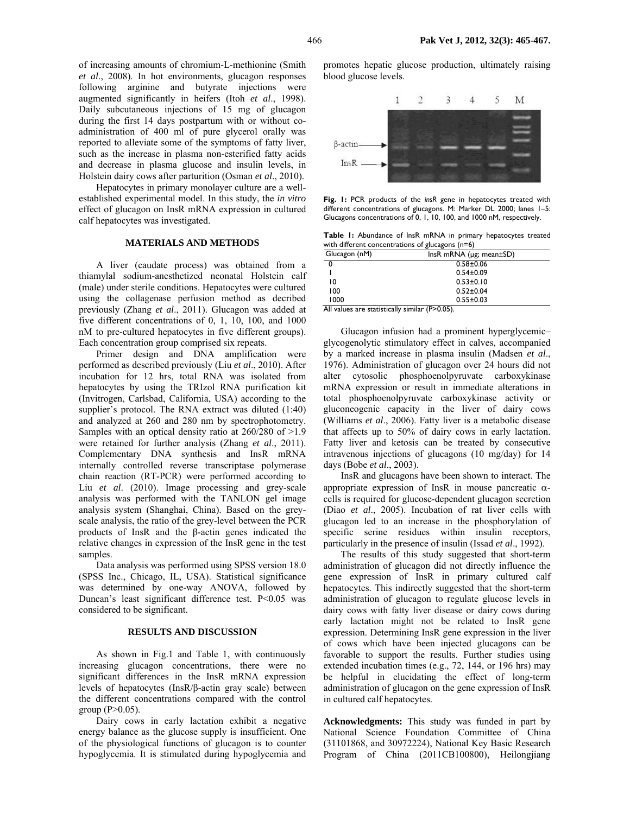of increasing amounts of chromium-L-methionine (Smith *et al*., 2008). In hot environments, glucagon responses following arginine and butyrate injections were augmented significantly in heifers (Itoh *et al*., 1998). Daily subcutaneous injections of 15 mg of glucagon during the first 14 days postpartum with or without coadministration of 400 ml of pure glycerol orally was reported to alleviate some of the symptoms of fatty liver, such as the increase in plasma non-esterified fatty acids and decrease in plasma glucose and insulin levels, in Holstein dairy cows after parturition (Osman *et al*., 2010).

Hepatocytes in primary monolayer culture are a wellestablished experimental model. In this study, the *in vitro* effect of glucagon on InsR mRNA expression in cultured calf hepatocytes was investigated.

## **MATERIALS AND METHODS**

A liver (caudate process) was obtained from a thiamylal sodium-anesthetized neonatal Holstein calf (male) under sterile conditions. Hepatocytes were cultured using the collagenase perfusion method as decribed previously (Zhang *et al*., 2011). Glucagon was added at five different concentrations of 0, 1, 10, 100, and 1000 nM to pre-cultured hepatocytes in five different groups). Each concentration group comprised six repeats.

Primer design and DNA amplification were performed as described previously (Liu *et al*., 2010). After incubation for 12 hrs, total RNA was isolated from hepatocytes by using the TRIzol RNA purification kit (Invitrogen, Carlsbad, California, USA) according to the supplier's protocol. The RNA extract was diluted (1:40) and analyzed at 260 and 280 nm by spectrophotometry. Samples with an optical density ratio at 260/280 of >1.9 were retained for further analysis (Zhang *et al*., 2011). Complementary DNA synthesis and InsR mRNA internally controlled reverse transcriptase polymerase chain reaction (RT-PCR) were performed according to Liu *et al*. (2010). Image processing and grey-scale analysis was performed with the TANLON gel image analysis system (Shanghai, China). Based on the greyscale analysis, the ratio of the grey-level between the PCR products of InsR and the β-actin genes indicated the relative changes in expression of the InsR gene in the test samples.

Data analysis was performed using SPSS version 18.0 (SPSS Inc., Chicago, IL, USA). Statistical significance was determined by one-way ANOVA, followed by Duncan's least significant difference test. P<0.05 was considered to be significant.

#### **RESULTS AND DISCUSSION**

As shown in Fig.1 and Table 1, with continuously increasing glucagon concentrations, there were no significant differences in the InsR mRNA expression levels of hepatocytes (InsR/β-actin gray scale) between the different concentrations compared with the control group ( $P > 0.05$ ).

Dairy cows in early lactation exhibit a negative energy balance as the glucose supply is insufficient. One of the physiological functions of glucagon is to counter hypoglycemia. It is stimulated during hypoglycemia and promotes hepatic glucose production, ultimately raising blood glucose levels.



**Fig. 1:** PCR products of the *insR* gene in hepatocytes treated with different concentrations of glucagons. M: Marker DL 2000; lanes 1–5: Glucagons concentrations of 0, 1, 10, 100, and 1000 nM, respectively.

**Table 1:** Abundance of InsR mRNA in primary hepatocytes treated with different concentrations of glucagons (n=6)

| Glucagon (nM)                  | InsR mRNA ( $\mu$ g; mean $\pm$ SD)     |
|--------------------------------|-----------------------------------------|
|                                | $0.58 + 0.06$                           |
|                                | $0.54 \pm 0.09$                         |
| 10                             | $0.53 \pm 0.10$                         |
| 100                            | $0.52 \pm 0.04$                         |
| 1000                           | $0.55 \pm 0.03$                         |
| $\ddot{\phantom{1}}$<br>.<br>. | (0, 0, 0, 0, 0)<br>$\cdot$ .<br>$\cdot$ |

All values are statistically similar (P>0.05).

Glucagon infusion had a prominent hyperglycemic– glycogenolytic stimulatory effect in calves, accompanied by a marked increase in plasma insulin (Madsen *et al*., 1976). Administration of glucagon over 24 hours did not alter cytosolic phosphoenolpyruvate carboxykinase mRNA expression or result in immediate alterations in total phosphoenolpyruvate carboxykinase activity or gluconeogenic capacity in the liver of dairy cows (Williams *et al*., 2006). Fatty liver is a metabolic disease that affects up to 50% of dairy cows in early lactation. Fatty liver and ketosis can be treated by consecutive intravenous injections of glucagons (10 mg/day) for 14 days (Bobe *et al*., 2003).

InsR and glucagons have been shown to interact. The appropriate expression of InsR in mouse pancreatic  $\alpha$ cells is required for glucose-dependent glucagon secretion (Diao *et al*., 2005). Incubation of rat liver cells with glucagon led to an increase in the phosphorylation of specific serine residues within insulin receptors, particularly in the presence of insulin (Issad *et al*., 1992).

The results of this study suggested that short-term administration of glucagon did not directly influence the gene expression of InsR in primary cultured calf hepatocytes. This indirectly suggested that the short-term administration of glucagon to regulate glucose levels in dairy cows with fatty liver disease or dairy cows during early lactation might not be related to InsR gene expression. Determining InsR gene expression in the liver of cows which have been injected glucagons can be favorable to support the results. Further studies using extended incubation times (e.g., 72, 144, or 196 hrs) may be helpful in elucidating the effect of long-term administration of glucagon on the gene expression of InsR in cultured calf hepatocytes.

**Acknowledgments:** This study was funded in part by National Science Foundation Committee of China (31101868, and 30972224), National Key Basic Research Program of China (2011CB100800), Heilongjiang